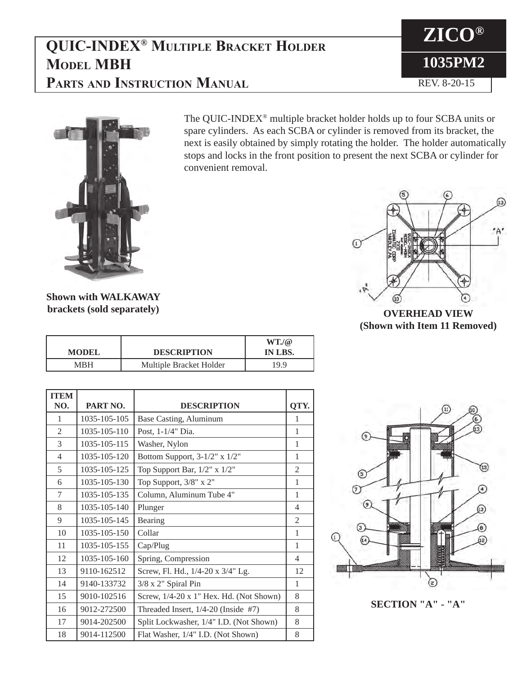# **QUIC-INDEX® Multiple Bracket Holder Model MBH PARTS AND INSTRUCTION MANUAL REV. 8-20-15**





The QUIC-INDEX® multiple bracket holder holds up to four SCBA units or spare cylinders. As each SCBA or cylinder is removed from its bracket, the next is easily obtained by simply rotating the holder. The holder automatically stops and locks in the front position to present the next SCBA or cylinder for convenient removal.



**OVERHEAD VIEW (Shown with Item 11 Removed)**

**Shown with WALKAWAY brackets (sold separately)**

| <b>MODEL</b> | <b>DESCRIPTION</b>      | WT/a<br>IN LBS. |
|--------------|-------------------------|-----------------|
| MRH          | Multiple Bracket Holder | 19.9            |

| <b>ITEM</b>    |              |                                         |                |
|----------------|--------------|-----------------------------------------|----------------|
| NO.            | PART NO.     | <b>DESCRIPTION</b>                      | QTY.           |
| 1              | 1035-105-105 | Base Casting, Aluminum                  | 1              |
| $\overline{2}$ | 1035-105-110 | Post, 1-1/4" Dia.                       | $\mathbf{1}$   |
| 3              | 1035-105-115 | Washer, Nylon                           | 1              |
| $\overline{4}$ | 1035-105-120 | Bottom Support, $3-1/2$ " x $1/2$ "     | 1              |
| 5              | 1035-105-125 | Top Support Bar, $1/2$ " x $1/2$ "      | $\mathfrak{2}$ |
| 6              | 1035-105-130 | Top Support, 3/8" x 2"                  | 1              |
| 7              | 1035-105-135 | Column, Aluminum Tube 4"                | 1              |
| 8              | 1035-105-140 | Plunger                                 | $\overline{4}$ |
| 9              | 1035-105-145 | Bearing                                 | 2              |
| 10             | 1035-105-150 | Collar                                  | $\mathbf{1}$   |
| 11             | 1035-105-155 | Cap/Plug                                | $\mathbf{1}$   |
| 12             | 1035-105-160 | Spring, Compression                     | $\overline{4}$ |
| 13             | 9110-162512  | Screw, Fl. Hd., 1/4-20 x 3/4" Lg.       | 12             |
| 14             | 9140-133732  | 3/8 x 2" Spiral Pin                     | 1              |
| 15             | 9010-102516  | Screw, 1/4-20 x 1" Hex. Hd. (Not Shown) | 8              |
| 16             | 9012-272500  | Threaded Insert, $1/4-20$ (Inside #7)   | 8              |
| 17             | 9014-202500  | Split Lockwasher, 1/4" I.D. (Not Shown) | 8              |
| 18             | 9014-112500  | Flat Washer, 1/4" I.D. (Not Shown)      | 8              |



**SECTION "A" - "A"**